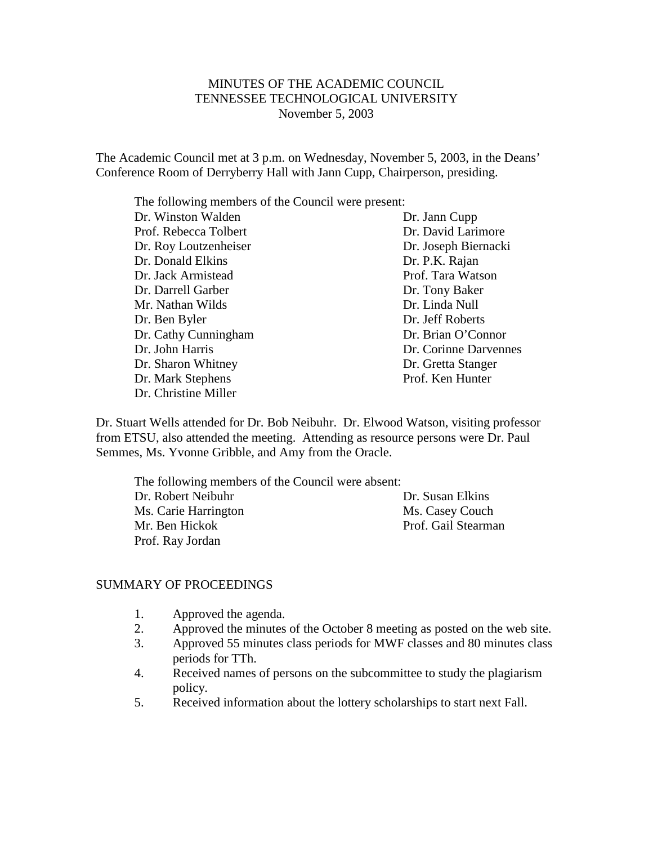# MINUTES OF THE ACADEMIC COUNCIL TENNESSEE TECHNOLOGICAL UNIVERSITY November 5, 2003

The Academic Council met at 3 p.m. on Wednesday, November 5, 2003, in the Deans' Conference Room of Derryberry Hall with Jann Cupp, Chairperson, presiding.

The following members of the Council were present:

| Dr. Winston Walden    | Dr. Jann Cupp         |
|-----------------------|-----------------------|
| Prof. Rebecca Tolbert | Dr. David Larimore    |
| Dr. Roy Loutzenheiser | Dr. Joseph Biernacki  |
| Dr. Donald Elkins     | Dr. P.K. Rajan        |
| Dr. Jack Armistead    | Prof. Tara Watson     |
| Dr. Darrell Garber    | Dr. Tony Baker        |
| Mr. Nathan Wilds      | Dr. Linda Null        |
| Dr. Ben Byler         | Dr. Jeff Roberts      |
| Dr. Cathy Cunningham  | Dr. Brian O'Connor    |
| Dr. John Harris       | Dr. Corinne Darvennes |
| Dr. Sharon Whitney    | Dr. Gretta Stanger    |
| Dr. Mark Stephens     | Prof. Ken Hunter      |
| Dr. Christine Miller  |                       |

Dr. Stuart Wells attended for Dr. Bob Neibuhr. Dr. Elwood Watson, visiting professor from ETSU, also attended the meeting. Attending as resource persons were Dr. Paul Semmes, Ms. Yvonne Gribble, and Amy from the Oracle.

The following members of the Council were absent: Dr. Robert Neibuhr Dr. Susan Elkins Ms. Carie Harrington Ms. Casey Couch Mr. Ben Hickok Prof. Gail Stearman Prof. Ray Jordan

### SUMMARY OF PROCEEDINGS

- 1. Approved the agenda.
- 2. Approved the minutes of the October 8 meeting as posted on the web site.
- 3. Approved 55 minutes class periods for MWF classes and 80 minutes class periods for TTh.
- 4. Received names of persons on the subcommittee to study the plagiarism policy.
- 5. Received information about the lottery scholarships to start next Fall.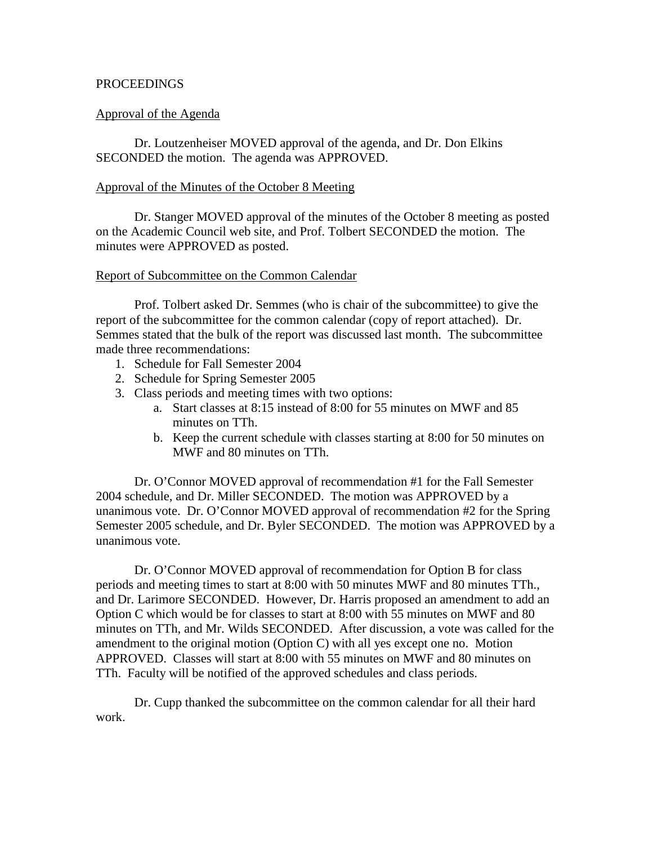### PROCEEDINGS

### Approval of the Agenda

Dr. Loutzenheiser MOVED approval of the agenda, and Dr. Don Elkins SECONDED the motion. The agenda was APPROVED.

### Approval of the Minutes of the October 8 Meeting

Dr. Stanger MOVED approval of the minutes of the October 8 meeting as posted on the Academic Council web site, and Prof. Tolbert SECONDED the motion. The minutes were APPROVED as posted.

#### Report of Subcommittee on the Common Calendar

Prof. Tolbert asked Dr. Semmes (who is chair of the subcommittee) to give the report of the subcommittee for the common calendar (copy of report attached). Dr. Semmes stated that the bulk of the report was discussed last month. The subcommittee made three recommendations:

- 1. Schedule for Fall Semester 2004
- 2. Schedule for Spring Semester 2005
- 3. Class periods and meeting times with two options:
	- a. Start classes at 8:15 instead of 8:00 for 55 minutes on MWF and 85 minutes on TTh.
	- b. Keep the current schedule with classes starting at 8:00 for 50 minutes on MWF and 80 minutes on TTh.

Dr. O'Connor MOVED approval of recommendation #1 for the Fall Semester 2004 schedule, and Dr. Miller SECONDED. The motion was APPROVED by a unanimous vote. Dr. O'Connor MOVED approval of recommendation #2 for the Spring Semester 2005 schedule, and Dr. Byler SECONDED. The motion was APPROVED by a unanimous vote.

Dr. O'Connor MOVED approval of recommendation for Option B for class periods and meeting times to start at 8:00 with 50 minutes MWF and 80 minutes TTh., and Dr. Larimore SECONDED. However, Dr. Harris proposed an amendment to add an Option C which would be for classes to start at 8:00 with 55 minutes on MWF and 80 minutes on TTh, and Mr. Wilds SECONDED. After discussion, a vote was called for the amendment to the original motion (Option C) with all yes except one no. Motion APPROVED. Classes will start at 8:00 with 55 minutes on MWF and 80 minutes on TTh. Faculty will be notified of the approved schedules and class periods.

Dr. Cupp thanked the subcommittee on the common calendar for all their hard work.